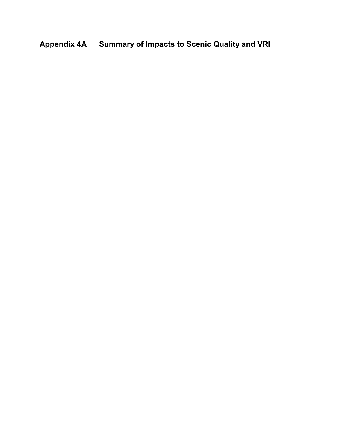# **Appendix 4A Summary of Impacts to Scenic Quality and VRI**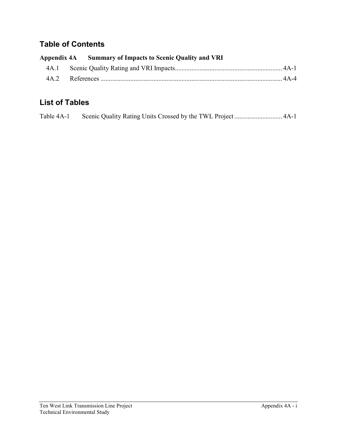### **Table of Contents**

|  | Appendix 4A Summary of Impacts to Scenic Quality and VRI |  |
|--|----------------------------------------------------------|--|
|  |                                                          |  |
|  |                                                          |  |

## **List of Tables**

|  | Table 4A-1 |  |  |  |
|--|------------|--|--|--|
|--|------------|--|--|--|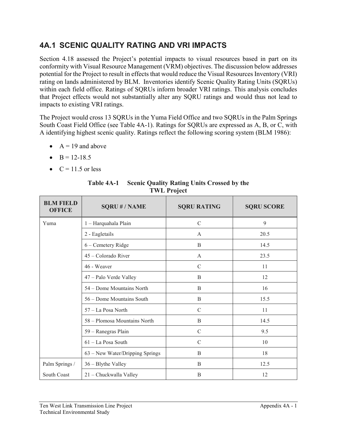## **4A.1 SCENIC QUALITY RATING AND VRI IMPACTS**

Section 4.18 assessed the Project's potential impacts to visual resources based in part on its conformity with Visual Resource Management (VRM) objectives. The discussion below addresses potential for the Project to result in effects that would reduce the Visual Resources Inventory (VRI) rating on lands administered by BLM. Inventories identify Scenic Quality Rating Units (SQRUs) within each field office. Ratings of SQRUs inform broader VRI ratings. This analysis concludes that Project effects would not substantially alter any SQRU ratings and would thus not lead to impacts to existing VRI ratings.

The Project would cross 13 SQRUs in the Yuma Field Office and two SQRUs in the Palm Springs South Coast Field Office (see Table 4A-1). Ratings for SQRUs are expressed as A, B, or C, with A identifying highest scenic quality. Ratings reflect the following scoring system (BLM 1986):

- $A = 19$  and above
- $B = 12-18.5$
- $C = 11.5$  or less

| <b>BLM FIELD</b><br><b>OFFICE</b> | <b>SQRU#/NAME</b>               | <b>SQRU RATING</b> | <b>SQRU SCORE</b> |
|-----------------------------------|---------------------------------|--------------------|-------------------|
| Yuma                              | 1 - Harquahala Plain            | $\mathcal{C}$      | 9                 |
|                                   | 2 - Eagletails                  | A                  | 20.5              |
|                                   | 6 - Cemetery Ridge              | B                  | 14.5              |
|                                   | 45 - Colorado River             | A                  | 23.5              |
|                                   | 46 - Weaver                     | $\mathcal{C}$      | 11                |
|                                   | 47 – Palo Verde Valley          | B                  | 12                |
|                                   | 54 – Dome Mountains North       | B                  | 16                |
|                                   | 56 - Dome Mountains South       | B                  | 15.5              |
|                                   | 57 - La Posa North              | $\mathcal{C}$      | 11                |
|                                   | 58 – Plomosa Mountains North    | B                  | 14.5              |
|                                   | 59 - Ranegras Plain             | $\mathcal{C}$      | 9.5               |
|                                   | 61 - La Posa South              | $\mathcal{C}$      | 10                |
|                                   | 63 – New Water/Dripping Springs | B                  | 18                |
| Palm Springs /                    | 36 - Blythe Valley              | B                  | 12.5              |
| South Coast                       | 21 - Chuckwalla Valley          | B                  | 12                |

**Table 4A-1 Scenic Quality Rating Units Crossed by the TWL Project**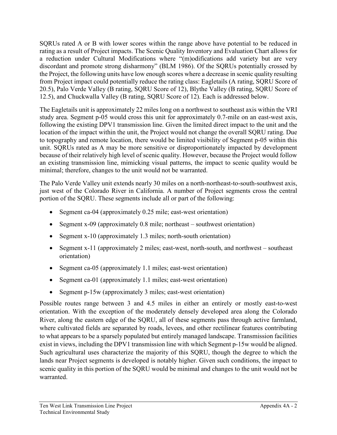SQRUs rated A or B with lower scores within the range above have potential to be reduced in rating as a result of Project impacts. The Scenic Quality Inventory and Evaluation Chart allows for a reduction under Cultural Modifications where "(m)odifications add variety but are very discordant and promote strong disharmony" (BLM 1986). Of the SQRUs potentially crossed by the Project, the following units have low enough scores where a decrease in scenic quality resulting from Project impact could potentially reduce the rating class: Eagletails (A rating, SQRU Score of 20.5), Palo Verde Valley (B rating, SQRU Score of 12), Blythe Valley (B rating, SQRU Score of 12.5), and Chuckwalla Valley (B rating, SQRU Score of 12). Each is addressed below.

The Eagletails unit is approximately 22 miles long on a northwest to southeast axis within the VRI study area. Segment p-05 would cross this unit for approximately 0.7-mile on an east-west axis, following the existing DPV1 transmission line. Given the limited direct impact to the unit and the location of the impact within the unit, the Project would not change the overall SQRU rating. Due to topography and remote location, there would be limited visibility of Segment p-05 within this unit. SQRUs rated as A may be more sensitive or disproportionately impacted by development because of their relatively high level of scenic quality. However, because the Project would follow an existing transmission line, mimicking visual patterns, the impact to scenic quality would be minimal; therefore, changes to the unit would not be warranted.

The Palo Verde Valley unit extends nearly 30 miles on a north-northeast-to-south-southwest axis, just west of the Colorado River in California. A number of Project segments cross the central portion of the SQRU. These segments include all or part of the following:

- Segment ca-04 (approximately 0.25 mile; east-west orientation)
- Segment x-09 (approximately 0.8 mile; northeast southwest orientation)
- Segment x-10 (approximately 1.3 miles; north-south orientation)
- Segment x-11 (approximately 2 miles; east-west, north-south, and northwest southeast orientation)
- Segment ca-05 (approximately 1.1 miles; east-west orientation)
- Segment ca-01 (approximately 1.1 miles; east-west orientation)
- Segment p-15w (approximately 3 miles; east-west orientation)

Possible routes range between 3 and 4.5 miles in either an entirely or mostly east-to-west orientation. With the exception of the moderately densely developed area along the Colorado River, along the eastern edge of the SQRU, all of these segments pass through active farmland, where cultivated fields are separated by roads, levees, and other rectilinear features contributing to what appears to be a sparsely populated but entirely managed landscape. Transmission facilities exist in views, including the DPV1 transmission line with which Segment p-15w would be aligned. Such agricultural uses characterize the majority of this SQRU, though the degree to which the lands near Project segments is developed is notably higher. Given such conditions, the impact to scenic quality in this portion of the SQRU would be minimal and changes to the unit would not be warranted.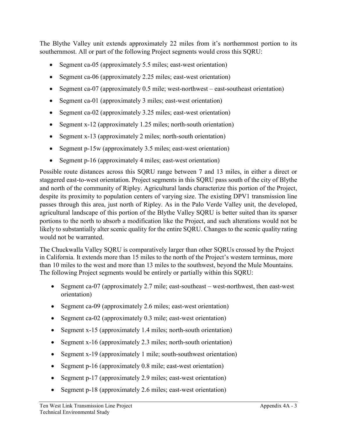The Blythe Valley unit extends approximately 22 miles from it's northernmost portion to its southernmost. All or part of the following Project segments would cross this SQRU:

- Segment ca-05 (approximately 5.5 miles; east-west orientation)
- Segment ca-06 (approximately 2.25 miles; east-west orientation)
- Segment ca-07 (approximately 0.5 mile; west-northwest east-southeast orientation)
- Segment ca-01 (approximately 3 miles; east-west orientation)
- Segment ca-02 (approximately 3.25 miles; east-west orientation)
- Segment x-12 (approximately 1.25 miles; north-south orientation)
- Segment x-13 (approximately 2 miles; north-south orientation)
- Segment p-15w (approximately 3.5 miles; east-west orientation)
- Segment p-16 (approximately 4 miles; east-west orientation)

Possible route distances across this SQRU range between 7 and 13 miles, in either a direct or staggered east-to-west orientation. Project segments in this SQRU pass south of the city of Blythe and north of the community of Ripley. Agricultural lands characterize this portion of the Project, despite its proximity to population centers of varying size. The existing DPV1 transmission line passes through this area, just north of Ripley. As in the Palo Verde Valley unit, the developed, agricultural landscape of this portion of the Blythe Valley SQRU is better suited than its sparser portions to the north to absorb a modification like the Project, and such alterations would not be likely to substantially alter scenic quality for the entire SQRU. Changes to the scenic quality rating would not be warranted.

The Chuckwalla Valley SQRU is comparatively larger than other SQRUs crossed by the Project in California. It extends more than 15 miles to the north of the Project's western terminus, more than 10 miles to the west and more than 13 miles to the southwest, beyond the Mule Mountains. The following Project segments would be entirely or partially within this SQRU:

- Segment ca-07 (approximately 2.7 mile; east-southeast west-northwest, then east-west orientation)
- Segment ca-09 (approximately 2.6 miles; east-west orientation)
- Segment ca-02 (approximately 0.3 mile; east-west orientation)
- Segment x-15 (approximately 1.4 miles; north-south orientation)
- Segment x-16 (approximately 2.3 miles; north-south orientation)
- Segment x-19 (approximately 1 mile; south-southwest orientation)
- Segment p-16 (approximately 0.8 mile; east-west orientation)
- Segment p-17 (approximately 2.9 miles; east-west orientation)
- Segment p-18 (approximately 2.6 miles; east-west orientation)